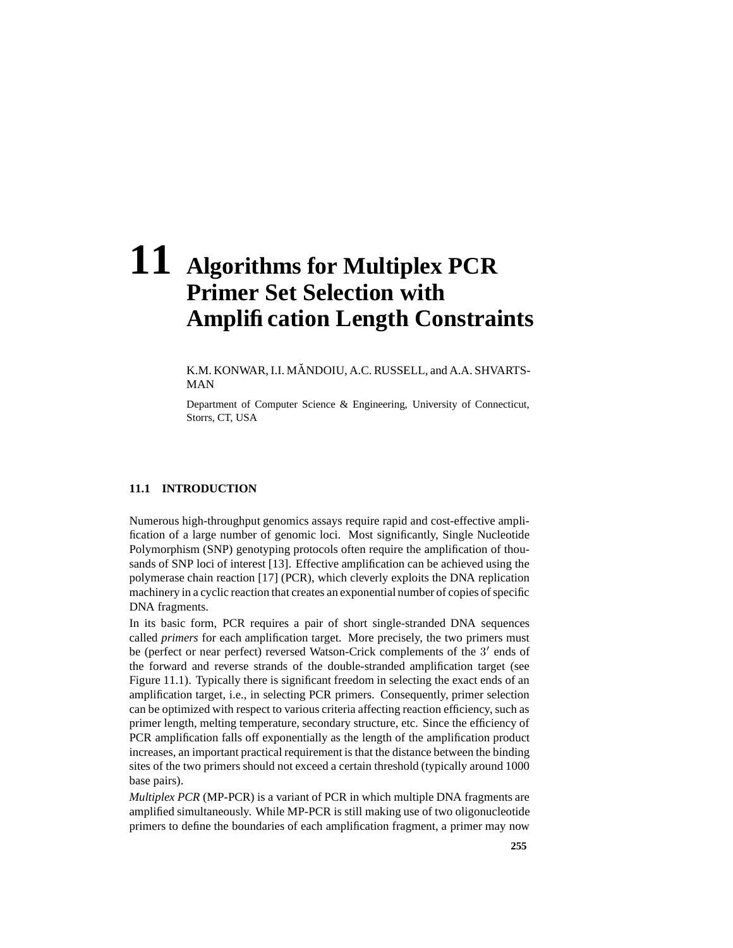# **11 Algorithms for Multiplex PCR Primer Set Selection with Amplification Length Constraints**

K.M. KONWAR, I.I. MANDOIU, A.C. RUSSELL, and A.A. SHVARTS-MAN

Department of Computer Science & Engineering, University of Connecticut, Storrs, CT, USA

# **11.1 INTRODUCTION**

Numerous high-throughput genomics assays require rapid and cost-effective amplification of a large number of genomic loci. Most significantly, Single Nucleotide Polymorphism (SNP) genotyping protocols often require the amplification of thousands of SNP loci of interest [13]. Effective amplification can be achieved using the polymerase chain reaction [17] (PCR), which cleverly exploits the DNA replication machinery in a cyclic reaction that creates an exponential number of copies of specific DNA fragments.

In its basic form, PCR requires a pair of short single-stranded DNA sequences called *primers* for each amplification target. More precisely, the two primers must be (perfect or near perfect) reversed Watson-Crick complements of the 3' ends of the forward and reverse strands of the double-stranded amplification target (see Figure 11.1). Typically there is significant freedom in selecting the exact ends of an amplification target, i.e., in selecting PCR primers. Consequently, primer selection can be optimized with respect to various criteria affecting reaction efficiency, such as primer length, melting temperature, secondary structure, etc. Since the efficiency of PCR amplification falls off exponentially as the length of the amplification product increases, an important practical requirement is that the distance between the binding sites of the two primers should not exceed a certain threshold (typically around 1000 base pairs).

*Multiplex PCR* (MP-PCR) is a variant of PCR in which multiple DNA fragments are amplified simultaneously. While MP-PCR is still making use of two oligonucleotide primers to define the boundaries of each amplification fragment, a primer may now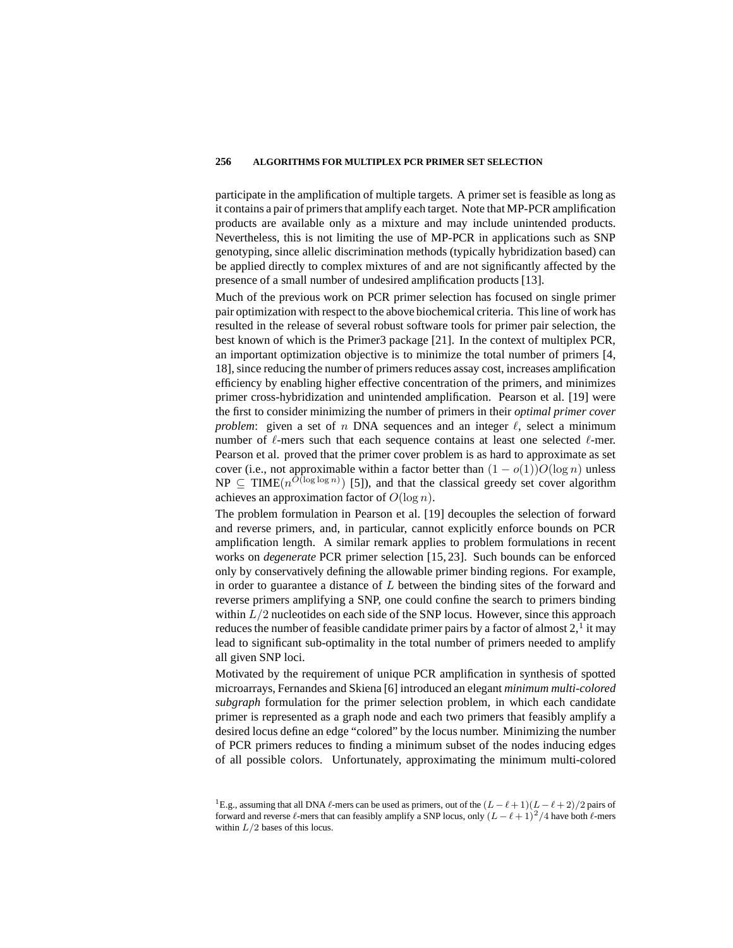participate in the amplification of multiple targets. A primer set is feasible as long as it contains a pair of primersthat amplify each target. Note that MP-PCR amplification products are available only as a mixture and may include unintended products. Nevertheless, this is not limiting the use of MP-PCR in applications such as SNP genotyping, since allelic discrimination methods (typically hybridization based) can be applied directly to complex mixtures of and are not significantly affected by the presence of a small number of undesired amplification products [13].

Much of the previous work on PCR primer selection has focused on single primer pair optimization with respect to the above biochemical criteria. Thisline of work has resulted in the release of several robust software tools for primer pair selection, the best known of which is the Primer3 package [21]. In the context of multiplex PCR, an important optimization objective is to minimize the total number of primers [4, 18], since reducing the number of primers reduces assay cost, increases amplification efficiency by enabling higher effective concentration of the primers, and minimizes primer cross-hybridization and unintended amplification. Pearson et al. [19] were the first to consider minimizing the number of primers in their *optimal primer cover problem*: given a set of n DNA sequences and an integer  $\ell$ , select a minimum number of  $\ell$ -mers such that each sequence contains at least one selected  $\ell$ -mer. Pearson et al. proved that the primer cover problem is as hard to approximate as set cover (i.e., not approximable within a factor better than  $(1 - o(1))O(\log n)$  unless  $NP \subseteq TIME(n^{O(\log \log n)})$  [5]), and that the classical greedy set cover algorithm achieves an approximation factor of  $O(\log n)$ .

The problem formulation in Pearson et al. [19] decouples the selection of forward and reverse primers, and, in particular, cannot explicitly enforce bounds on PCR amplification length. A similar remark applies to problem formulations in recent works on *degenerate* PCR primer selection [15, 23]. Such bounds can be enforced only by conservatively defining the allowable primer binding regions. For example, in order to guarantee a distance of  $L$  between the binding sites of the forward and reverse primers amplifying a SNP, one could confine the search to primers binding within  $L/2$  nucleotides on each side of the SNP locus. However, since this approach reduces the number of feasible candidate primer pairs by a factor of almost  $2$ ,  $\frac{1}{1}$  it may lead to significant sub-optimality in the total number of primers needed to amplify all given SNP loci.

Motivated by the requirement of unique PCR amplification in synthesis of spotted microarrays, Fernandes and Skiena [6] introduced an elegant *minimum multi-colored subgraph* formulation for the primer selection problem, in which each candidate primer is represented as a graph node and each two primers that feasibly amplify a desired locus define an edge "colored" by the locus number. Minimizing the number of PCR primers reduces to finding a minimum subset of the nodes inducing edges of all possible colors. Unfortunately, approximating the minimum multi-colored

<sup>&</sup>lt;sup>1</sup>E.g., assuming that all DNA  $\ell$ -mers can be used as primers, out of the  $(L - \ell + 1)(L - \ell + 2)/2$  pairs of forward and reverse  $\ell$ -mers that can feasibly amplify a SNP locus, only  $(L - \ell + 1)^2/4$  have both  $\ell$ -mers within  $L/2$  bases of this locus.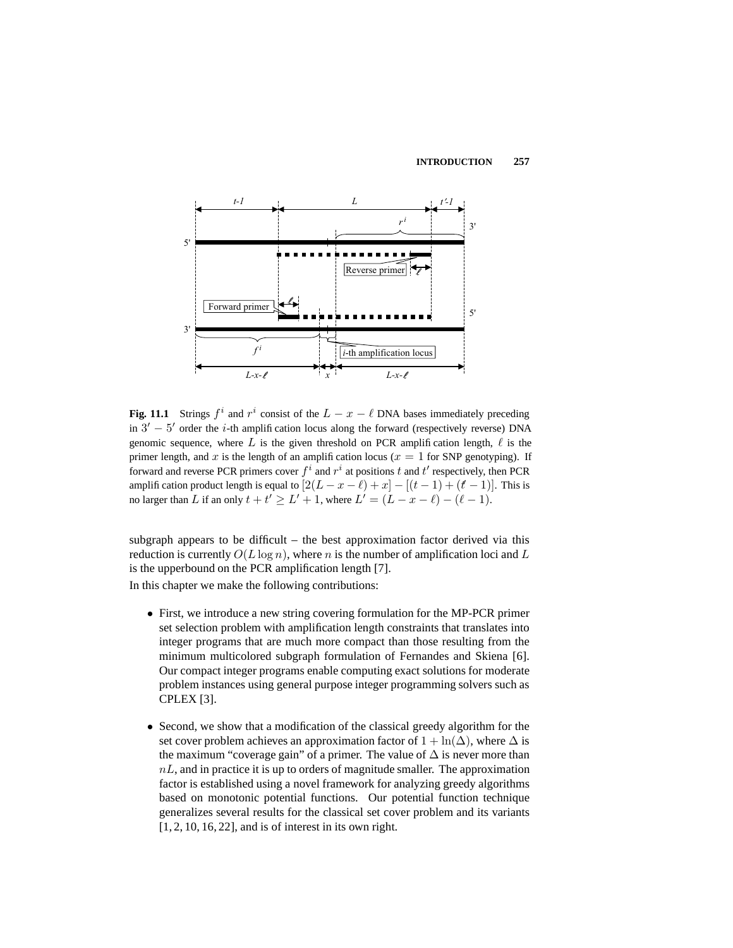

**Fig. 11.1** Strings  $f^i$  and  $r^i$  consist of the  $L - x - \ell$  DNA bases immediately preceding in  $3' - 5'$  order the *i*-th amplification locus along the forward (respectively reverse) DNA genomic sequence, where L is the given threshold on PCR amplification length,  $\ell$  is the primer length, and x is the length of an amplification locus ( $x = 1$  for SNP genotyping). If forward and reverse PCR primers cover  $f^i$  and  $r^i$  at positions  $t$  and  $t'$  respectively, then PCR amplification product length is equal to  $[2(L - x - \ell) + x] - [(t - 1) + (t - 1)]$ . This is no larger than L if an only  $t + t' \geq L' + 1$ , where  $L' = (L - x - \ell) - (\ell - 1)$ .

subgraph appears to be difficult – the best approximation factor derived via this reduction is currently  $O(L \log n)$ , where n is the number of amplification loci and L is the upperbound on the PCR amplification length [7]. In this chapter we make the following contributions:

- First, we introduce a new string covering formulation for the MP-PCR primer set selection problem with amplification length constraints that translates into integer programs that are much more compact than those resulting from the minimum multicolored subgraph formulation of Fernandes and Skiena [6]. Our compact integer programs enable computing exact solutions for moderate problem instances using general purpose integer programming solvers such as CPLEX [3].
- Second, we show that a modification of the classical greedy algorithm for the set cover problem achieves an approximation factor of  $1 + \ln(\Delta)$ , where  $\Delta$  is the maximum "coverage gain" of a primer. The value of  $\Delta$  is never more than  $nL$ , and in practice it is up to orders of magnitude smaller. The approximation factor is established using a novel framework for analyzing greedy algorithms based on monotonic potential functions. Our potential function technique generalizes several results for the classical set cover problem and its variants [1, 2, 10, 16, 22], and is of interest in its own right.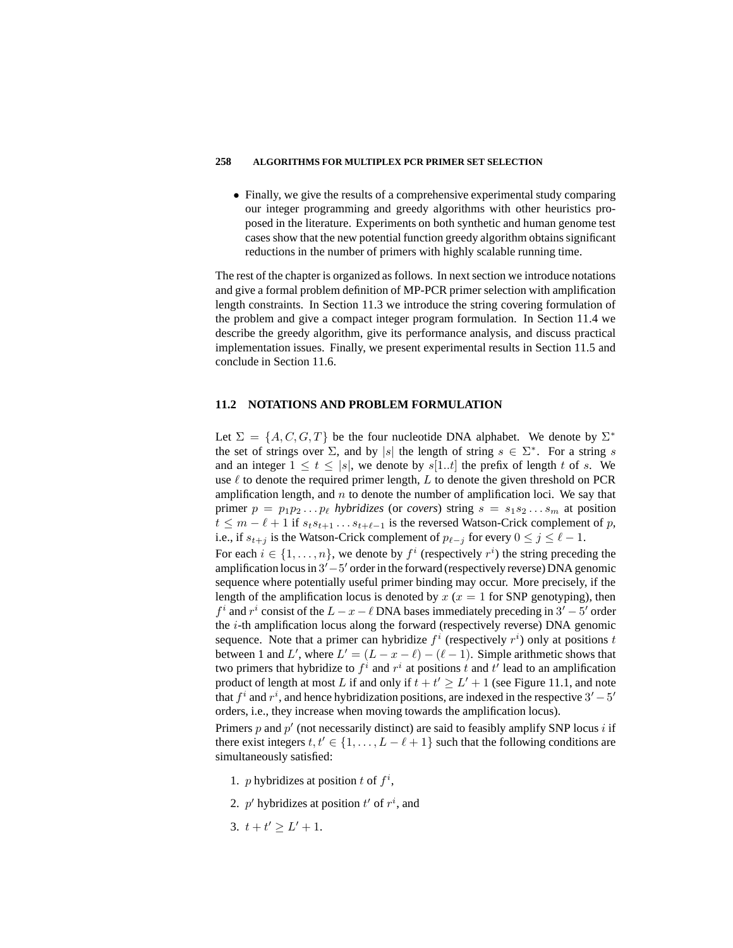• Finally, we give the results of a comprehensive experimental study comparing our integer programming and greedy algorithms with other heuristics proposed in the literature. Experiments on both synthetic and human genome test cases show that the new potential function greedy algorithm obtains significant reductions in the number of primers with highly scalable running time.

The rest of the chapter is organized as follows. In next section we introduce notations and give a formal problem definition of MP-PCR primer selection with amplification length constraints. In Section 11.3 we introduce the string covering formulation of the problem and give a compact integer program formulation. In Section 11.4 we describe the greedy algorithm, give its performance analysis, and discuss practical implementation issues. Finally, we present experimental results in Section 11.5 and conclude in Section 11.6.

# **11.2 NOTATIONS AND PROBLEM FORMULATION**

Let  $\Sigma = \{A, C, G, T\}$  be the four nucleotide DNA alphabet. We denote by  $\Sigma^*$ the set of strings over  $\Sigma$ , and by |s| the length of string  $s \in \Sigma^*$ . For a string s and an integer  $1 \le t \le |s|$ , we denote by  $s[1..t]$  the prefix of length t of s. We use  $\ell$  to denote the required primer length, L to denote the given threshold on PCR amplification length, and  $n$  to denote the number of amplification loci. We say that primer  $p = p_1 p_2 \dots p_\ell$  *hybridizes* (or *covers*) string  $s = s_1 s_2 \dots s_m$  at position  $t \leq m - \ell + 1$  if  $s_t s_{t+1} \ldots s_{t+\ell-1}$  is the reversed Watson-Crick complement of p, i.e., if  $s_{t+j}$  is the Watson-Crick complement of  $p_{\ell-j}$  for every  $0 \le j \le \ell - 1$ . For each  $i \in \{1, ..., n\}$ , we denote by  $f^i$  (respectively  $r^i$ ) the string preceding the amplification locus in 3' – 5' order in the forward (respectively reverse) DNA genomic sequence where potentially useful primer binding may occur. More precisely, if the length of the amplification locus is denoted by  $x (x = 1$  for SNP genotyping), then  $f^i$  and  $r^i$  consist of the  $L - x - \ell$  DNA bases immediately preceding in  $3' - 5'$  order the i-th amplification locus along the forward (respectively reverse) DNA genomic sequence. Note that a primer can hybridize  $f^i$  (respectively  $r^i$ ) only at positions t between 1 and L', where  $L' = (L - x - \ell) - (\ell - 1)$ . Simple arithmetic shows that two primers that hybridize to  $f^i$  and  $r^i$  at positions t and t' lead to an amplification product of length at most L if and only if  $t + t' \geq L' + 1$  (see Figure 11.1, and note that  $f^i$  and  $r^i$ , and hence hybridization positions, are indexed in the respective  $3'-5'$ orders, i.e., they increase when moving towards the amplification locus).

Primers  $p$  and  $p'$  (not necessarily distinct) are said to feasibly amplify SNP locus  $i$  if there exist integers  $t, t' \in \{1, ..., L - \ell + 1\}$  such that the following conditions are simultaneously satisfied:

- 1. *p* hybridizes at position *t* of  $f^i$ ,
- 2.  $p'$  hybridizes at position  $t'$  of  $r^i$ , and
- 3.  $t + t' \geq L' + 1$ .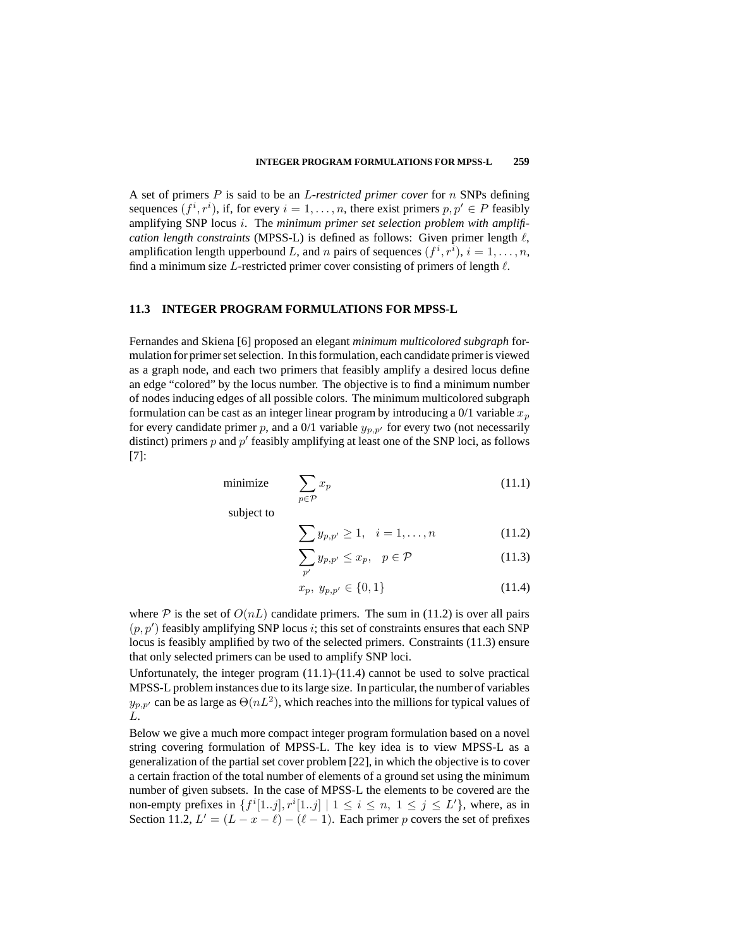#### **INTEGER PROGRAM FORMULATIONS FOR MPSS-L 259**

A set of primers P is said to be an L*-restricted primer cover* for n SNPs defining sequences  $(f^i, r^i)$ , if, for every  $i = 1, \ldots, n$ , there exist primers  $p, p' \in P$  feasibly amplifying SNP locus i. The *minimum primer set selection problem with amplification length constraints* (MPSS-L) is defined as follows: Given primer length  $\ell$ , amplification length upperbound L, and n pairs of sequences  $(f^i, r^i)$ ,  $i = 1, \ldots, n$ , find a minimum size L-restricted primer cover consisting of primers of length  $\ell$ .

# **11.3 INTEGER PROGRAM FORMULATIONS FOR MPSS-L**

Fernandes and Skiena [6] proposed an elegant *minimum multicolored subgraph* formulation for primer set selection. In this formulation, each candidate primer is viewed as a graph node, and each two primers that feasibly amplify a desired locus define an edge "colored" by the locus number. The objective is to find a minimum number of nodes inducing edges of all possible colors. The minimum multicolored subgraph formulation can be cast as an integer linear program by introducing a  $0/1$  variable  $x_p$ for every candidate primer p, and a 0/1 variable  $y_{p,p'}$  for every two (not necessarily distinct) primers  $p$  and  $p'$  feasibly amplifying at least one of the SNP loci, as follows [7]:

$$
\text{minimize} \qquad \sum_{p \in \mathcal{P}} x_p \tag{11.1}
$$

subject to

$$
\sum y_{p,p'} \ge 1, \quad i = 1, \dots, n \tag{11.2}
$$

$$
\sum_{p'} y_{p,p'} \le x_p, \quad p \in \mathcal{P} \tag{11.3}
$$

$$
x_p, y_{p,p'} \in \{0, 1\} \tag{11.4}
$$

where  $P$  is the set of  $O(nL)$  candidate primers. The sum in (11.2) is over all pairs  $(p, p')$  feasibly amplifying SNP locus i; this set of constraints ensures that each SNP locus is feasibly amplified by two of the selected primers. Constraints (11.3) ensure that only selected primers can be used to amplify SNP loci.

Unfortunately, the integer program (11.1)-(11.4) cannot be used to solve practical MPSS-L problem instances due to its large size. In particular, the number of variables  $y_{p,p'}$  can be as large as  $\Theta(nL^2)$ , which reaches into the millions for typical values of L.

Below we give a much more compact integer program formulation based on a novel string covering formulation of MPSS-L. The key idea is to view MPSS-L as a generalization of the partial set cover problem [22], in which the objective is to cover a certain fraction of the total number of elements of a ground set using the minimum number of given subsets. In the case of MPSS-L the elements to be covered are the non-empty prefixes in  $\{f^i[1..j], r^i[1..j] \mid 1 \le i \le n, 1 \le j \le L'\}$ , where, as in Section 11.2,  $L' = (L - x - \ell) - (\ell - 1)$ . Each primer p covers the set of prefixes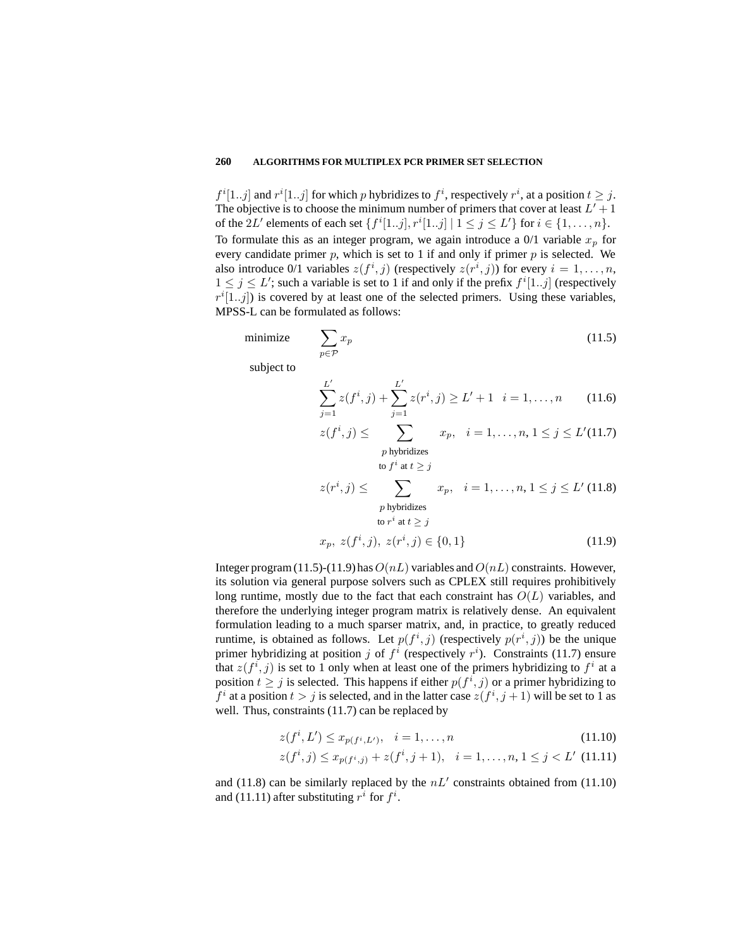$f^i[1..j]$  and  $r^i[1..j]$  for which p hybridizes to  $f^i$ , respectively  $r^i$ , at a position  $t \geq j$ . The objective is to choose the minimum number of primers that cover at least  $L' + 1$ of the 2L' elements of each set  $\{f^{i}[1..j], r^{i}[1..j] | 1 \le j \le L'\}$  for  $i \in \{1, ..., n\}$ . To formulate this as an integer program, we again introduce a  $0/1$  variable  $x_p$  for every candidate primer  $p$ , which is set to 1 if and only if primer  $p$  is selected. We also introduce 0/1 variables  $z(f^i, j)$  (respectively  $z(r^i, j)$ ) for every  $i = 1, \ldots, n$ ,  $1 \leq j \leq L'$ ; such a variable is set to 1 if and only if the prefix  $f^i[1..j]$  (respectively  $r^{i}[1..j]$ ) is covered by at least one of the selected primers. Using these variables, MPSS-L can be formulated as follows:

$$
\text{minimize} \qquad \sum_{p \in \mathcal{P}} x_p \tag{11.5}
$$

subject to

$$
\sum_{j=1}^{L'} z(f^i, j) + \sum_{j=1}^{L'} z(r^i, j) \ge L' + 1 \quad i = 1, \dots, n \tag{11.6}
$$

$$
z(f^i, j) \le \sum_{\substack{p \text{ hybridizes} \\ \text{to } f^i \text{ at } t \ge j}} x_p, \quad i = 1, \dots, n, 1 \le j \le L'(11.7)
$$

$$
z(r^i, j) \leq \sum_{\substack{p \text{ hybridizes} \\ \text{to } r^i \text{ at } t \geq j}} x_p, \quad i = 1, \dots, n, 1 \leq j \leq L' \text{ (11.8)}
$$

$$
x_p, \ z(f^i, j), \ z(r^i, j) \in \{0, 1\}
$$
(11.9)

Integer program (11.5)-(11.9) has  $O(nL)$  variables and  $O(nL)$  constraints. However, its solution via general purpose solvers such as CPLEX still requires prohibitively long runtime, mostly due to the fact that each constraint has  $O(L)$  variables, and therefore the underlying integer program matrix is relatively dense. An equivalent formulation leading to a much sparser matrix, and, in practice, to greatly reduced runtime, is obtained as follows. Let  $p(f^i, j)$  (respectively  $p(r^i, j)$ ) be the unique primer hybridizing at position j of  $f^i$  (respectively  $r^i$ ). Constraints (11.7) ensure that  $z(f^i, j)$  is set to 1 only when at least one of the primers hybridizing to  $f^i$  at a position  $t \geq j$  is selected. This happens if either  $p(f^i, j)$  or a primer hybridizing to  $f^i$  at a position  $t > j$  is selected, and in the latter case  $z(f^i, j+1)$  will be set to 1 as well. Thus, constraints (11.7) can be replaced by

$$
z(f^i, L') \le x_{p(f^i, L')}, \quad i = 1, \dots, n
$$
\n(11.10)

$$
z(f^i, j) \le x_{p(f^i, j)} + z(f^i, j + 1), \quad i = 1, \dots, n, 1 \le j < L' \tag{11.11}
$$

and (11.8) can be similarly replaced by the  $nL'$  constraints obtained from (11.10) and (11.11) after substituting  $r^i$  for  $f^i$ .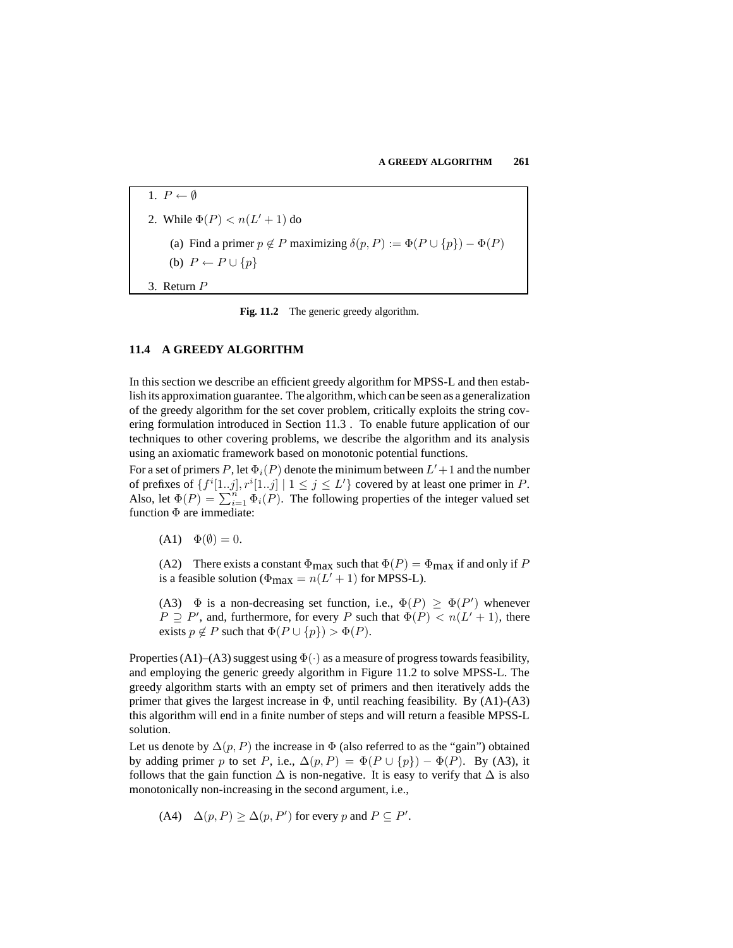1.  $P \leftarrow \emptyset$ 2. While  $\Phi(P) < n(L'+1)$  do (a) Find a primer  $p \notin P$  maximizing  $\delta(p, P) := \Phi(P \cup \{p\}) - \Phi(P)$ (b)  $P \leftarrow P \cup \{p\}$ 3. Return P

**Fig. 11.2** The generic greedy algorithm.

# **11.4 A GREEDY ALGORITHM**

In this section we describe an efficient greedy algorithm for MPSS-L and then establish its approximation guarantee. The algorithm, which can be seen as a generalization of the greedy algorithm for the set cover problem, critically exploits the string covering formulation introduced in Section 11.3 . To enable future application of our techniques to other covering problems, we describe the algorithm and its analysis using an axiomatic framework based on monotonic potential functions.

For a set of primers P, let  $\Phi_i(P)$  denote the minimum between  $L'+1$  and the number of prefixes of  $\{f^i[1,j], r^i[1,j] \mid 1 \le j \le L'\}$  covered by at least one primer in P. Also, let  $\Phi(P) = \sum_{i=1}^{n} \Phi_i(P)$ . The following properties of the integer valued set function Φ are immediate:

 $(A1) \quad \Phi(\emptyset) = 0.$ 

(A2) There exists a constant  $\Phi_{\text{max}}$  such that  $\Phi(P) = \Phi_{\text{max}}$  if and only if P is a feasible solution ( $\Phi_{\text{max}} = n(L' + 1)$  for MPSS-L).

(A3)  $\Phi$  is a non-decreasing set function, i.e.,  $\Phi(P) \ge \Phi(P')$  whenever  $P \supseteq P'$ , and, furthermore, for every P such that  $\Phi(P) < n(L'+1)$ , there exists  $p \notin P$  such that  $\Phi(P \cup \{p\}) > \Phi(P)$ .

Properties (A1)–(A3) suggest using  $\Phi(\cdot)$  as a measure of progress towards feasibility, and employing the generic greedy algorithm in Figure 11.2 to solve MPSS-L. The greedy algorithm starts with an empty set of primers and then iteratively adds the primer that gives the largest increase in  $\Phi$ , until reaching feasibility. By (A1)-(A3) this algorithm will end in a finite number of steps and will return a feasible MPSS-L solution.

Let us denote by  $\Delta(p, P)$  the increase in  $\Phi$  (also referred to as the "gain") obtained by adding primer p to set P, i.e.,  $\Delta(p, P) = \Phi(P \cup \{p\}) - \Phi(P)$ . By (A3), it follows that the gain function  $\Delta$  is non-negative. It is easy to verify that  $\Delta$  is also monotonically non-increasing in the second argument, i.e.,

(A4) 
$$
\Delta(p, P) \ge \Delta(p, P')
$$
 for every p and  $P \subseteq P'$ .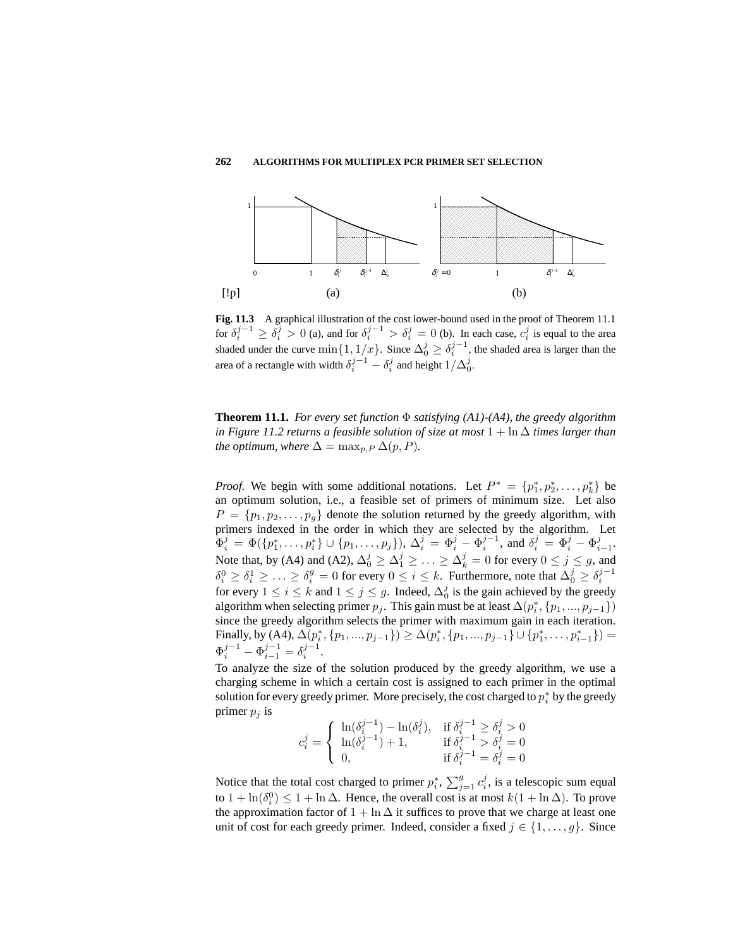

**Fig. 11.3** A graphical illustration of the cost lower-bound used in the proof of Theorem 11.1 for  $\delta_i^{j-1} \ge \delta_i^j > 0$  (a), and for  $\delta_i^{j-1} > \delta_i^j = 0$  (b). In each case,  $c_i^j$  is equal to the area shaded under the curve  $\min\{1, 1/x\}$ . Since  $\Delta_0^j \ge \delta_i^{j-1}$ , the shaded area is larger than the area of a rectangle with width  $\delta_i^{j-1} - \delta_i^j$  and height  $1/\Delta_0^j$ .

**Theorem 11.1.** *For every set function* Φ *satisfying (A1)-(A4), the greedy algorithm in Figure* 11.2 *returns a feasible solution of size at most*  $1 + \ln \Delta$  *times larger than the optimum, where*  $\Delta = \max_{p,P} \Delta(p,P)$ *.* 

*Proof.* We begin with some additional notations. Let  $P^* = \{p_1^*, p_2^*, \dots, p_k^*\}$  be an optimum solution, i.e., a feasible set of primers of minimum size. Let also  $P = \{p_1, p_2, \ldots, p_q\}$  denote the solution returned by the greedy algorithm, with primers indexed in the order in which they are selected by the algorithm. Let  $\Phi_i^j = \Phi(\{p_1^*, \ldots, p_i^*\} \cup \{p_1, \ldots, p_j\}), \Delta_i^j = \Phi_i^j - \Phi_i^{j-1}$ , and  $\delta_i^j = \Phi_i^j - \Phi_{i-1}^j$ . Note that, by (A4) and (A2),  $\Delta_0^j \geq \Delta_1^j \geq \ldots \geq \Delta_k^j = 0$  for every  $0 \leq j \leq g$ , and  $\delta_i^0 \ge \delta_i^1 \ge \ldots \ge \delta_i^g = 0$  for every  $0 \le i \le k$ . Furthermore, note that  $\Delta_0^j \ge \delta_i^{j-1}$ for every  $1 \le i \le k$  and  $1 \le j \le g$ . Indeed,  $\Delta_0^j$  is the gain achieved by the greedy algorithm when selecting primer  $p_j$ . This gain must be at least  $\Delta(p_i^*, \{p_1, ..., p_{j-1}\})$ since the greedy algorithm selects the primer with maximum gain in each iteration. Finally, by (A4),  $\Delta(p_i^*, \{p_1, ..., p_{j-1}\}) \ge \Delta(p_i^*, \{p_1, ..., p_{j-1}\} \cup \{p_1^*, ..., p_{i-1}^*\}) =$  $\Phi_i^{j-1} - \Phi_{i-1}^{j-1} = \delta_i^{j-1}.$ 

To analyze the size of the solution produced by the greedy algorithm, we use a charging scheme in which a certain cost is assigned to each primer in the optimal solution for every greedy primer. More precisely, the cost charged to  $p_i^*$  by the greedy primer  $p_i$  is

$$
c_i^j = \begin{cases} \ln(\delta_i^{j-1}) - \ln(\delta_i^j), & \text{if } \delta_i^{j-1} \ge \delta_i^j > 0\\ \ln(\delta_i^{j-1}) + 1, & \text{if } \delta_i^{j-1} > \delta_i^j = 0\\ 0, & \text{if } \delta_i^{j-1} = \delta_i^j = 0 \end{cases}
$$

Notice that the total cost charged to primer  $p_i^*$ ,  $\sum_{j=1}^g c_i^j$ , is a telescopic sum equal to  $1 + \ln(\delta_i^0) \le 1 + \ln \Delta$ . Hence, the overall cost is at most  $k(1 + \ln \Delta)$ . To prove the approximation factor of  $1 + \ln \Delta$  it suffices to prove that we charge at least one unit of cost for each greedy primer. Indeed, consider a fixed  $j \in \{1, \ldots, g\}$ . Since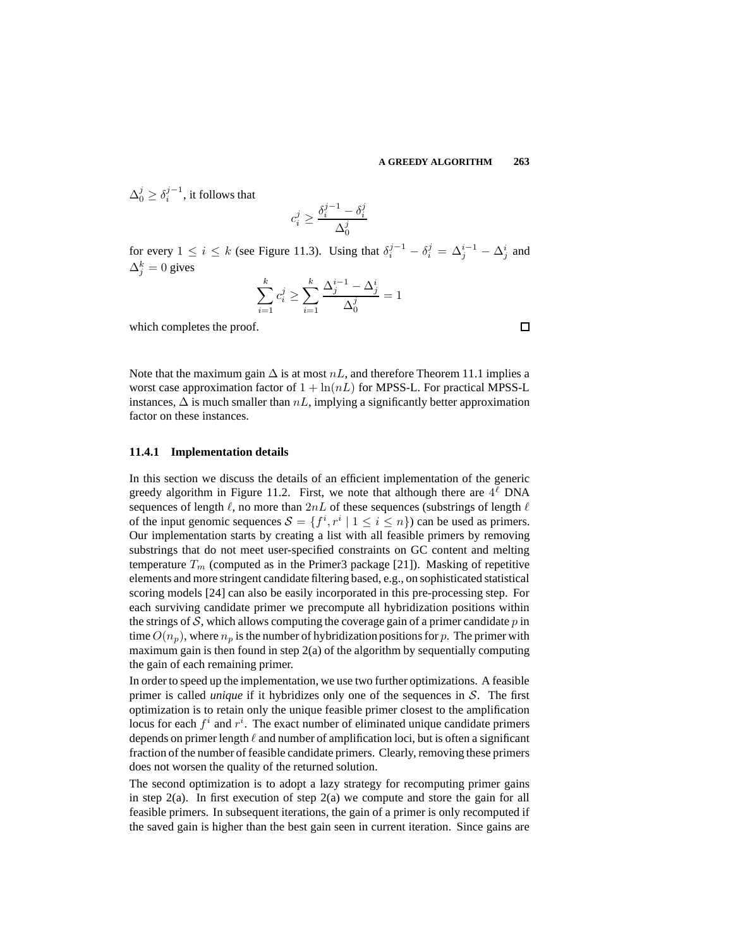$\Delta_0^j \geq \delta_i^{j-1}$ , it follows that

$$
c_i^j \geq \frac{\delta_i^{j-1} - \delta_i^j}{\Delta_0^j}
$$

for every  $1 \le i \le k$  (see Figure 11.3). Using that  $\delta_i^{j-1} - \delta_i^j = \Delta_j^{i-1} - \Delta_j^i$  and  $\Delta_j^k = 0$  gives

$$
\sum_{i=1}^{k} c_i^j \ge \sum_{i=1}^{k} \frac{\Delta_j^{i-1} - \Delta_j^i}{\Delta_0^j} = 1
$$

which completes the proof.

Note that the maximum gain  $\Delta$  is at most  $nL$ , and therefore Theorem 11.1 implies a worst case approximation factor of  $1 + \ln(nL)$  for MPSS-L. For practical MPSS-L instances,  $\Delta$  is much smaller than  $nL$ , implying a significantly better approximation factor on these instances.

# **11.4.1 Implementation details**

In this section we discuss the details of an efficient implementation of the generic greedy algorithm in Figure 11.2. First, we note that although there are  $4^\ell$  DNA sequences of length  $\ell$ , no more than  $2nL$  of these sequences (substrings of length  $\ell$ of the input genomic sequences  $S = \{f^i, r^i \mid 1 \le i \le n\}$  can be used as primers. Our implementation starts by creating a list with all feasible primers by removing substrings that do not meet user-specified constraints on GC content and melting temperature  $T_m$  (computed as in the Primer3 package [21]). Masking of repetitive elements and more stringent candidate filtering based, e.g., on sophisticated statistical scoring models [24] can also be easily incorporated in this pre-processing step. For each surviving candidate primer we precompute all hybridization positions within the strings of S, which allows computing the coverage gain of a primer candidate  $p$  in time  $O(n_p)$ , where  $n_p$  is the number of hybridization positions for p. The primer with maximum gain is then found in step 2(a) of the algorithm by sequentially computing the gain of each remaining primer.

In order to speed up the implementation, we use two further optimizations. A feasible primer is called *unique* if it hybridizes only one of the sequences in S. The first optimization is to retain only the unique feasible primer closest to the amplification locus for each  $f^i$  and  $r^i$ . The exact number of eliminated unique candidate primers depends on primer length  $\ell$  and number of amplification loci, but is often a significant fraction of the number of feasible candidate primers. Clearly, removing these primers does not worsen the quality of the returned solution.

The second optimization is to adopt a lazy strategy for recomputing primer gains in step  $2(a)$ . In first execution of step  $2(a)$  we compute and store the gain for all feasible primers. In subsequent iterations, the gain of a primer is only recomputed if the saved gain is higher than the best gain seen in current iteration. Since gains are

 $\Box$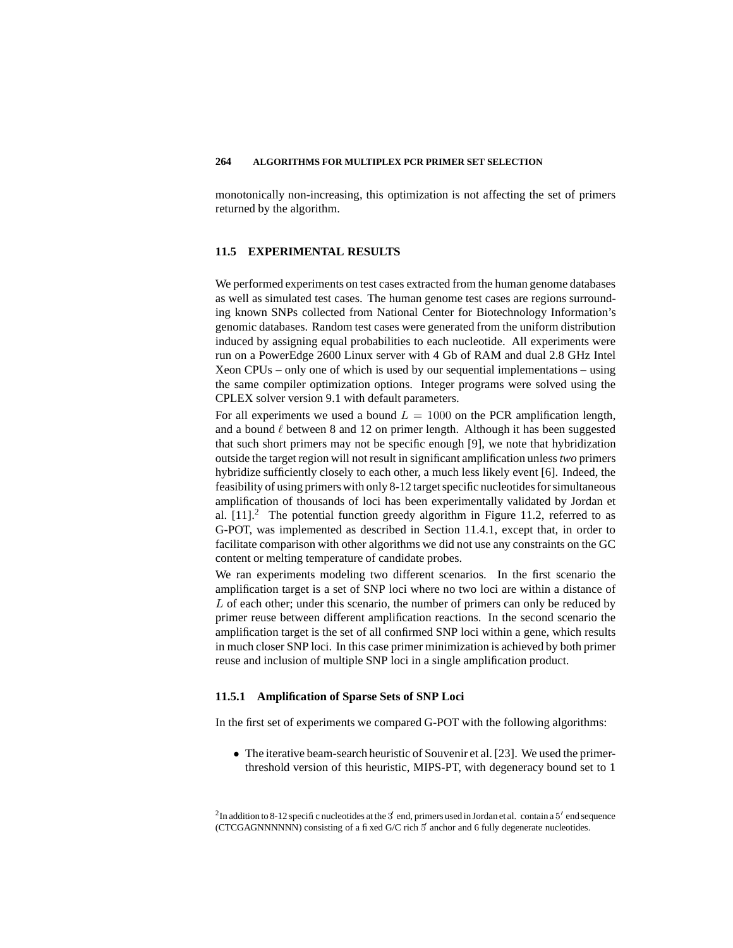monotonically non-increasing, this optimization is not affecting the set of primers returned by the algorithm.

# **11.5 EXPERIMENTAL RESULTS**

We performed experiments on test cases extracted from the human genome databases as well as simulated test cases. The human genome test cases are regions surrounding known SNPs collected from National Center for Biotechnology Information's genomic databases. Random test cases were generated from the uniform distribution induced by assigning equal probabilities to each nucleotide. All experiments were run on a PowerEdge 2600 Linux server with 4 Gb of RAM and dual 2.8 GHz Intel Xeon CPUs – only one of which is used by our sequential implementations – using the same compiler optimization options. Integer programs were solved using the CPLEX solver version 9.1 with default parameters.

For all experiments we used a bound  $L = 1000$  on the PCR amplification length, and a bound  $\ell$  between 8 and 12 on primer length. Although it has been suggested that such short primers may not be specific enough [9], we note that hybridization outside the target region will not result in significant amplification unless *two* primers hybridize sufficiently closely to each other, a much less likely event [6]. Indeed, the feasibility of using primers with only 8-12 target specific nucleotides for simultaneous amplification of thousands of loci has been experimentally validated by Jordan et al.  $[11]$ <sup>2</sup> The potential function greedy algorithm in Figure 11.2, referred to as G-POT, was implemented as described in Section 11.4.1, except that, in order to facilitate comparison with other algorithms we did not use any constraints on the GC content or melting temperature of candidate probes.

We ran experiments modeling two different scenarios. In the first scenario the amplification target is a set of SNP loci where no two loci are within a distance of L of each other; under this scenario, the number of primers can only be reduced by primer reuse between different amplification reactions. In the second scenario the amplification target is the set of all confirmed SNP loci within a gene, which results in much closer SNP loci. In this case primer minimization is achieved by both primer reuse and inclusion of multiple SNP loci in a single amplification product.

# **11.5.1 Amplification of Sparse Sets of SNP Loci**

In the first set of experiments we compared G-POT with the following algorithms:

• The iterative beam-search heuristic of Souvenir et al. [23]. We used the primerthreshold version of this heuristic, MIPS-PT, with degeneracy bound set to 1

<sup>2</sup>In addition to 8-12 specific nucleotides at the 3 end, primers used in Jordan et al. contain a 5' end sequence  $(CTCGAGNNNNNN)$  consisting of a fixed G/C rich  $\frac{1}{3}$  anchor and 6 fully degenerate nucleotides.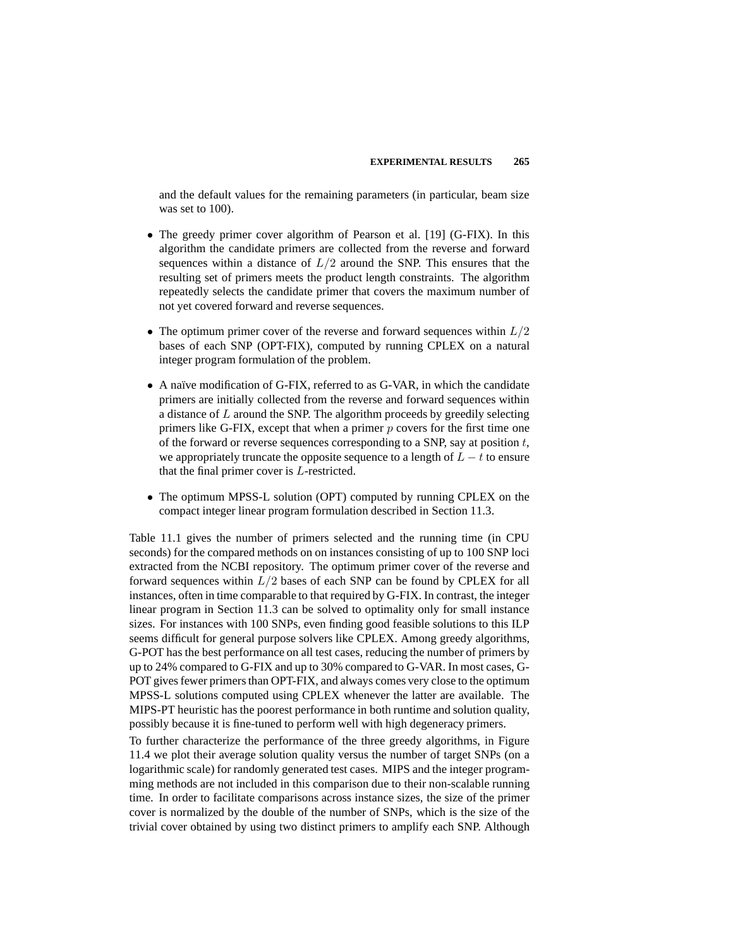and the default values for the remaining parameters (in particular, beam size was set to 100).

- The greedy primer cover algorithm of Pearson et al. [19] (G-FIX). In this algorithm the candidate primers are collected from the reverse and forward sequences within a distance of  $L/2$  around the SNP. This ensures that the resulting set of primers meets the product length constraints. The algorithm repeatedly selects the candidate primer that covers the maximum number of not yet covered forward and reverse sequences.
- The optimum primer cover of the reverse and forward sequences within  $L/2$ bases of each SNP (OPT-FIX), computed by running CPLEX on a natural integer program formulation of the problem.
- A naïve modification of G-FIX, referred to as G-VAR, in which the candidate primers are initially collected from the reverse and forward sequences within a distance of L around the SNP. The algorithm proceeds by greedily selecting primers like G-FIX, except that when a primer  $p$  covers for the first time one of the forward or reverse sequences corresponding to a SNP, say at position  $t$ , we appropriately truncate the opposite sequence to a length of  $L - t$  to ensure that the final primer cover is L-restricted.
- The optimum MPSS-L solution (OPT) computed by running CPLEX on the compact integer linear program formulation described in Section 11.3.

Table 11.1 gives the number of primers selected and the running time (in CPU seconds) for the compared methods on on instances consisting of up to 100 SNP loci extracted from the NCBI repository. The optimum primer cover of the reverse and forward sequences within  $L/2$  bases of each SNP can be found by CPLEX for all instances, often in time comparable to that required by G-FIX. In contrast, the integer linear program in Section 11.3 can be solved to optimality only for small instance sizes. For instances with 100 SNPs, even finding good feasible solutions to this ILP seems difficult for general purpose solvers like CPLEX. Among greedy algorithms, G-POT has the best performance on all test cases, reducing the number of primers by up to 24% compared to G-FIX and up to 30% compared to G-VAR. In most cases, G-POT gives fewer primers than OPT-FIX, and always comes very close to the optimum MPSS-L solutions computed using CPLEX whenever the latter are available. The MIPS-PT heuristic has the poorest performance in both runtime and solution quality, possibly because it is fine-tuned to perform well with high degeneracy primers.

To further characterize the performance of the three greedy algorithms, in Figure 11.4 we plot their average solution quality versus the number of target SNPs (on a logarithmic scale) for randomly generated test cases. MIPS and the integer programming methods are not included in this comparison due to their non-scalable running time. In order to facilitate comparisons across instance sizes, the size of the primer cover is normalized by the double of the number of SNPs, which is the size of the trivial cover obtained by using two distinct primers to amplify each SNP. Although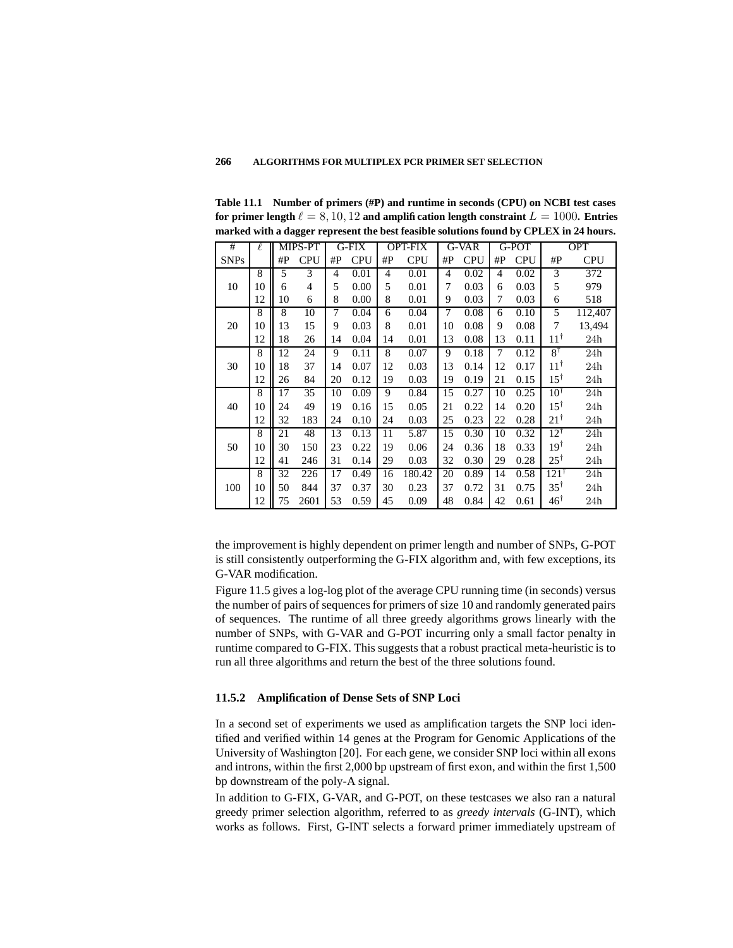**Table 11.1 Number of primers (#P) and runtime in seconds (CPU) on NCBI test cases for** primer length  $\ell = 8, 10, 12$  and amplification length constraint  $L = 1000$ . Entries **marked with a dagger represent the best feasible solutions found by CPLEX in 24 hours.**

| #           | ł. | MIPS-PT |            | G-FIX          |            | <b>OPT-FIX</b> |            | G-VAR          |            | G-POT          |            | <b>OPT</b>      |            |
|-------------|----|---------|------------|----------------|------------|----------------|------------|----------------|------------|----------------|------------|-----------------|------------|
| <b>SNPs</b> |    | # $P$   | <b>CPU</b> | #P             | <b>CPU</b> | # $P$          | <b>CPU</b> | #P             | <b>CPU</b> | $\#P$          | <b>CPU</b> | # $P$           | <b>CPU</b> |
|             | 8  | 5       | 3          | $\overline{4}$ | 0.01       | $\overline{4}$ | 0.01       | $\overline{4}$ | 0.02       | $\overline{4}$ | 0.02       | 3               | 372        |
| 10          | 10 | 6       | 4          | 5              | 0.00       | 5              | 0.01       | 7              | 0.03       | 6              | 0.03       | 5               | 979        |
|             | 12 | 10      | 6          | 8              | 0.00       | 8              | 0.01       | 9              | 0.03       | 7              | 0.03       | 6               | 518        |
| 20          | 8  | 8       | 10         | 7              | 0.04       | 6              | 0.04       | 7              | 0.08       | 6              | 0.10       | 5               | 112,407    |
|             | 10 | 13      | 15         | 9              | 0.03       | 8              | 0.01       | 10             | 0.08       | 9              | 0.08       | 7               | 13,494     |
|             | 12 | 18      | 26         | 14             | 0.04       | 14             | 0.01       | 13             | 0.08       | 13             | 0.11       | $11^{\dagger}$  | 24h        |
| 30          | 8  | 12      | 24         | 9              | 0.11       | 8              | 0.07       | 9              | 0.18       | 7              | 0.12       | $8^{\dagger}$   | 24h        |
|             | 10 | 18      | 37         | 14             | 0.07       | 12             | 0.03       | 13             | 0.14       | 12             | 0.17       | $11^{\dagger}$  | 24h        |
|             | 12 | 26      | 84         | 20             | 0.12       | 19             | 0.03       | 19             | 0.19       | 21             | 0.15       | $15^{\dagger}$  | 24h        |
| 40          | 8  | 17      | 35         | 10             | 0.09       | 9              | 0.84       | 15             | 0.27       | 10             | 0.25       | $10^{\dagger}$  | 24h        |
|             | 10 | 24      | 49         | 19             | 0.16       | 15             | 0.05       | 21             | 0.22       | 14             | 0.20       | $15^{\dagger}$  | 24h        |
|             | 12 | 32      | 183        | 24             | 0.10       | 24             | 0.03       | 25             | 0.23       | 22             | 0.28       | $21^{\dagger}$  | 24h        |
| 50          | 8  | 21      | 48         | 13             | 0.13       | 11             | 5.87       | 15             | 0.30       | 10             | 0.32       | $12^{\dagger}$  | 24h        |
|             | 10 | 30      | 150        | 23             | 0.22       | 19             | 0.06       | 24             | 0.36       | 18             | 0.33       | $19^{\dagger}$  | 24h        |
|             | 12 | 41      | 246        | 31             | 0.14       | 29             | 0.03       | 32             | 0.30       | 29             | 0.28       | $25^{\dagger}$  | 24h        |
|             | 8  | 32      | 226        | 17             | 0.49       | 16             | 180.42     | 20             | 0.89       | 14             | 0.58       | $121^{\dagger}$ | 24h        |
| 100         | 10 | 50      | 844        | 37             | 0.37       | 30             | 0.23       | 37             | 0.72       | 31             | 0.75       | $35^{\dagger}$  | 24h        |
|             | 12 | 75      | 2601       | 53             | 0.59       | 45             | 0.09       | 48             | 0.84       | 42             | 0.61       | $46^{\dagger}$  | 24h        |

the improvement is highly dependent on primer length and number of SNPs, G-POT is still consistently outperforming the G-FIX algorithm and, with few exceptions, its G-VAR modification.

Figure 11.5 gives a log-log plot of the average CPU running time (in seconds) versus the number of pairs of sequences for primers of size 10 and randomly generated pairs of sequences. The runtime of all three greedy algorithms grows linearly with the number of SNPs, with G-VAR and G-POT incurring only a small factor penalty in runtime compared to G-FIX. This suggests that a robust practical meta-heuristic is to run all three algorithms and return the best of the three solutions found.

# **11.5.2 Amplification of Dense Sets of SNP Loci**

In a second set of experiments we used as amplification targets the SNP loci identified and verified within 14 genes at the Program for Genomic Applications of the University of Washington [20]. For each gene, we consider SNP loci within all exons and introns, within the first 2,000 bp upstream of first exon, and within the first 1,500 bp downstream of the poly-A signal.

In addition to G-FIX, G-VAR, and G-POT, on these testcases we also ran a natural greedy primer selection algorithm, referred to as *greedy intervals* (G-INT), which works as follows. First, G-INT selects a forward primer immediately upstream of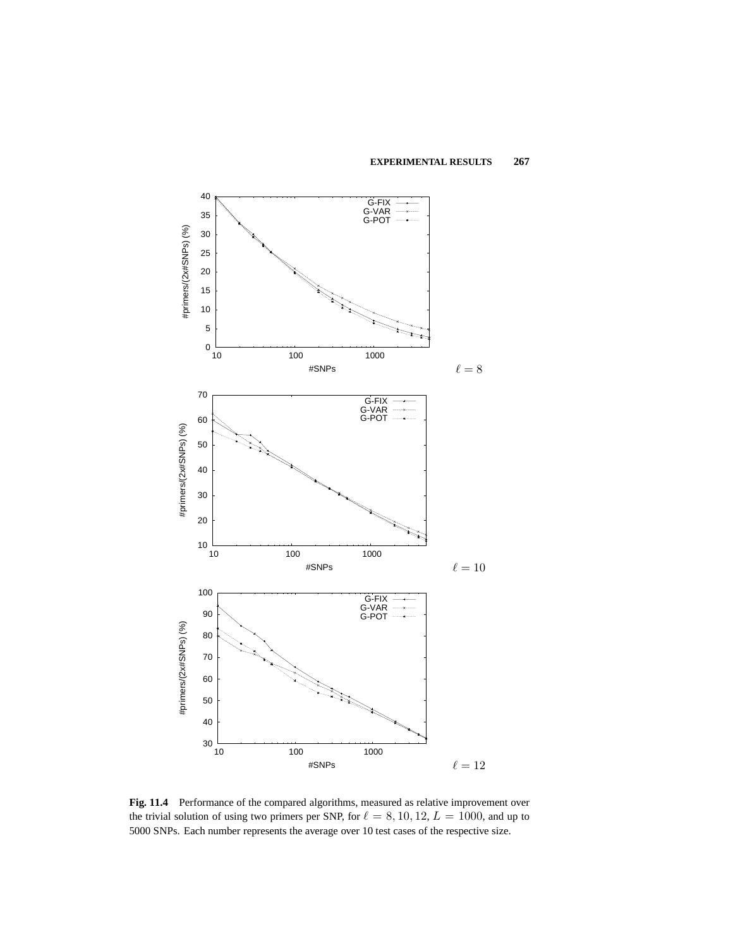

**Fig. 11.4** Performance of the compared algorithms, measured as relative improvement over the trivial solution of using two primers per SNP, for  $\ell = 8, 10, 12, L = 1000$ , and up to 5000 SNPs. Each number represents the average over 10 test cases of the respective size.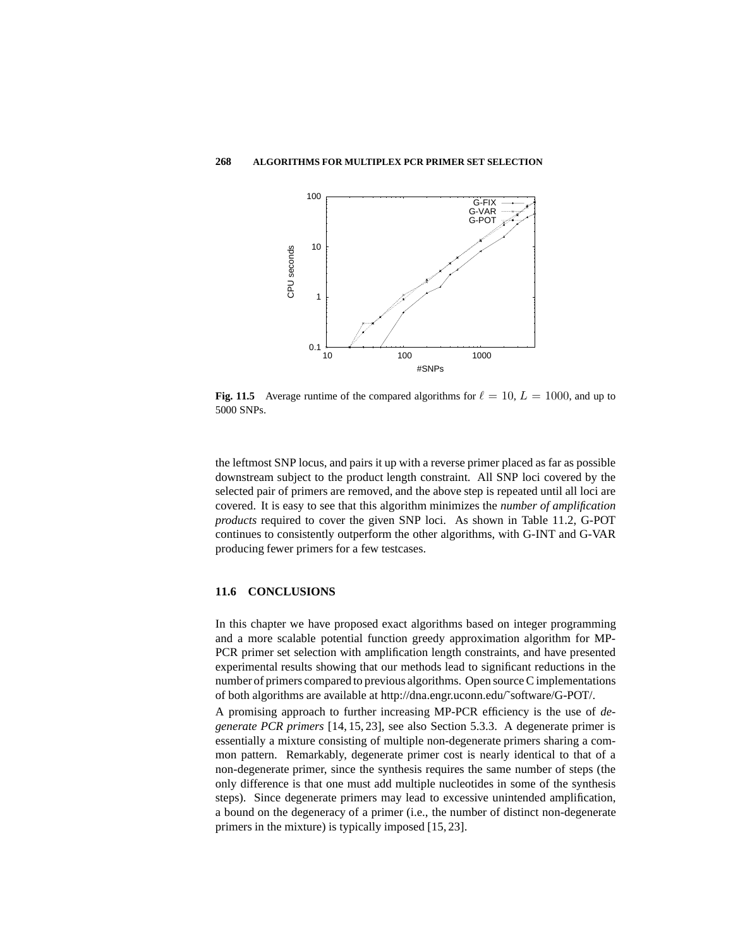

**Fig. 11.5** Average runtime of the compared algorithms for  $\ell = 10, L = 1000$ , and up to 5000 SNPs.

the leftmost SNP locus, and pairs it up with a reverse primer placed as far as possible downstream subject to the product length constraint. All SNP loci covered by the selected pair of primers are removed, and the above step is repeated until all loci are covered. It is easy to see that this algorithm minimizes the *number of amplification products* required to cover the given SNP loci. As shown in Table 11.2, G-POT continues to consistently outperform the other algorithms, with G-INT and G-VAR producing fewer primers for a few testcases.

# **11.6 CONCLUSIONS**

In this chapter we have proposed exact algorithms based on integer programming and a more scalable potential function greedy approximation algorithm for MP-PCR primer set selection with amplification length constraints, and have presented experimental results showing that our methods lead to significant reductions in the number of primers compared to previous algorithms. Open sourceC implementations of both algorithms are available at http://dna.engr.uconn.edu/˜software/G-POT/.

A promising approach to further increasing MP-PCR efficiency is the use of *degenerate PCR primers* [14, 15, 23], see also Section 5.3.3. A degenerate primer is essentially a mixture consisting of multiple non-degenerate primers sharing a common pattern. Remarkably, degenerate primer cost is nearly identical to that of a non-degenerate primer, since the synthesis requires the same number of steps (the only difference is that one must add multiple nucleotides in some of the synthesis steps). Since degenerate primers may lead to excessive unintended amplification, a bound on the degeneracy of a primer (i.e., the number of distinct non-degenerate primers in the mixture) is typically imposed [15, 23].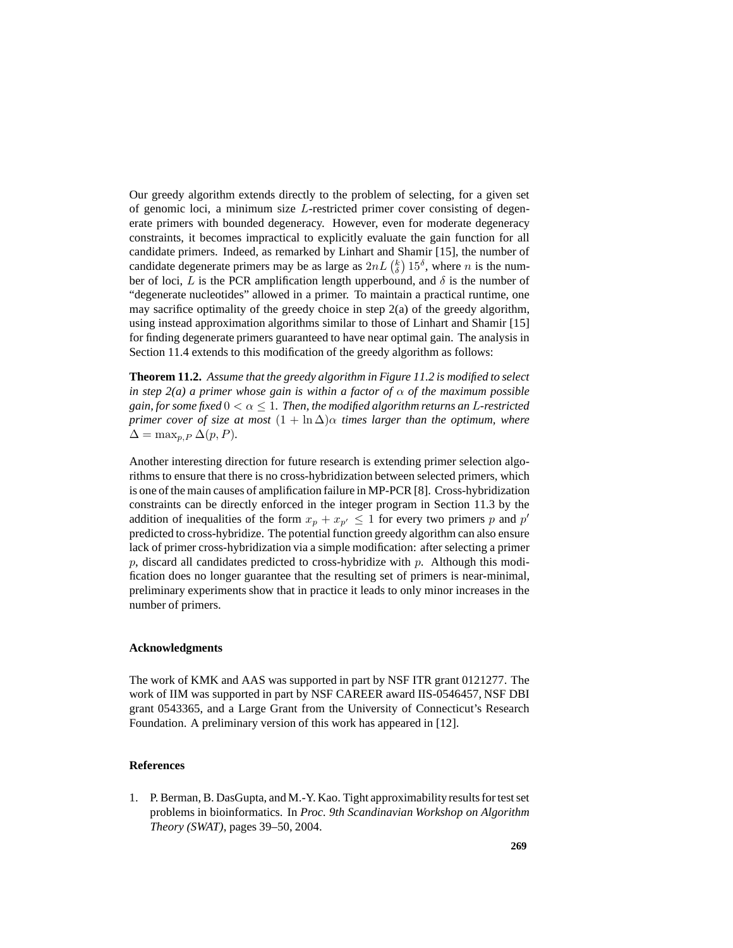Our greedy algorithm extends directly to the problem of selecting, for a given set of genomic loci, a minimum size L-restricted primer cover consisting of degenerate primers with bounded degeneracy. However, even for moderate degeneracy constraints, it becomes impractical to explicitly evaluate the gain function for all candidate primers. Indeed, as remarked by Linhart and Shamir [15], the number of candidate degenerate primers may be as large as  $2nL\left(\frac{k}{\delta}\right)15^{\delta}$ , where *n* is the number of loci, L is the PCR amplification length upperbound, and  $\delta$  is the number of "degenerate nucleotides" allowed in a primer. To maintain a practical runtime, one may sacrifice optimality of the greedy choice in step 2(a) of the greedy algorithm, using instead approximation algorithms similar to those of Linhart and Shamir [15] for finding degenerate primers guaranteed to have near optimal gain. The analysis in Section 11.4 extends to this modification of the greedy algorithm as follows:

**Theorem 11.2.** *Assume that the greedy algorithm in Figure 11.2 is modified to select in step*  $2(a)$  *a primer whose gain is within a factor of*  $\alpha$  *of the maximum possible gain, for some fixed*  $0 < \alpha \leq 1$ *. Then, the modified algorithm returns an L-restricted primer cover of size at most*  $(1 + \ln \Delta)\alpha$  *times larger than the optimum,* where  $\Delta = \max_{p, P} \Delta(p, P)$ .

Another interesting direction for future research is extending primer selection algorithms to ensure that there is no cross-hybridization between selected primers, which is one of the main causes of amplification failure in MP-PCR [8]. Cross-hybridization constraints can be directly enforced in the integer program in Section 11.3 by the addition of inequalities of the form  $x_p + x_{p'} \leq 1$  for every two primers p and p' predicted to cross-hybridize. The potential function greedy algorithm can also ensure lack of primer cross-hybridization via a simple modification: after selecting a primer p, discard all candidates predicted to cross-hybridize with p. Although this modification does no longer guarantee that the resulting set of primers is near-minimal, preliminary experiments show that in practice it leads to only minor increases in the number of primers.

# **Acknowledgments**

The work of KMK and AAS was supported in part by NSF ITR grant 0121277. The work of IIM was supported in part by NSF CAREER award IIS-0546457, NSF DBI grant 0543365, and a Large Grant from the University of Connecticut's Research Foundation. A preliminary version of this work has appeared in [12].

# **References**

1. P. Berman, B. DasGupta, and M.-Y. Kao. Tight approximability resultsfortestset problems in bioinformatics. In *Proc. 9th Scandinavian Workshop on Algorithm Theory (SWAT)*, pages 39–50, 2004.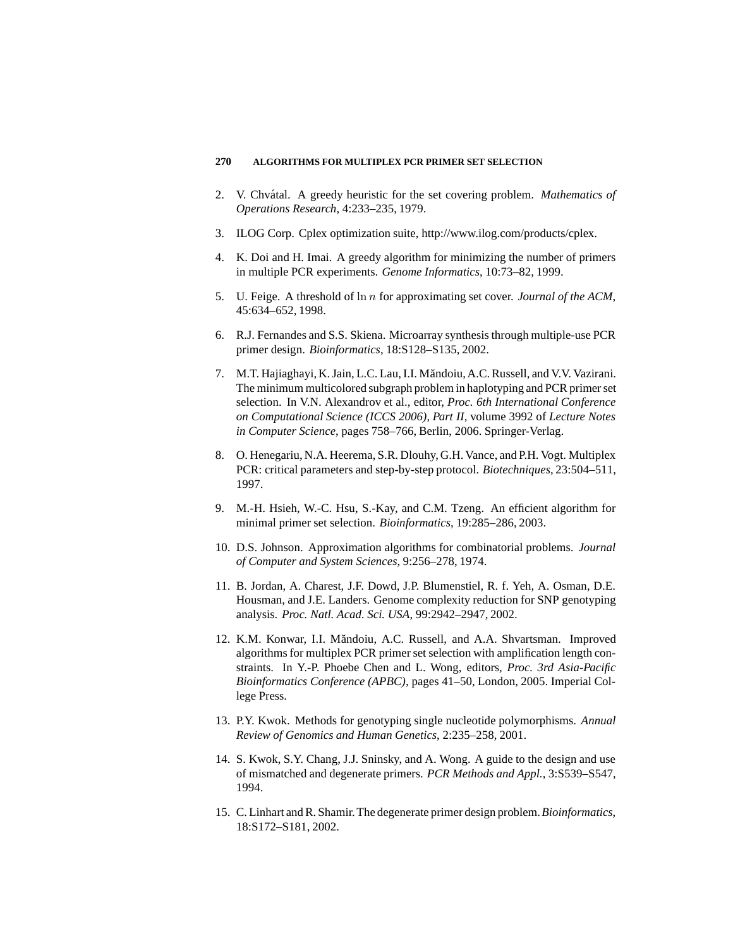- 2. V. Chvátal. A greedy heuristic for the set covering problem. *Mathematics of Operations Research*, 4:233–235, 1979.
- 3. ILOG Corp. Cplex optimization suite, http://www.ilog.com/products/cplex.
- 4. K. Doi and H. Imai. A greedy algorithm for minimizing the number of primers in multiple PCR experiments. *Genome Informatics*, 10:73–82, 1999.
- 5. U. Feige. A threshold of ln n for approximating set cover. *Journal of the ACM*, 45:634–652, 1998.
- 6. R.J. Fernandes and S.S. Skiena. Microarray synthesis through multiple-use PCR primer design. *Bioinformatics*, 18:S128–S135, 2002.
- 7. M.T. Hajiaghayi, K. Jain, L.C. Lau, I.I. Măndoiu, A.C. Russell, and V.V. Vazirani. The minimum multicolored subgraph problem in haplotyping and PCR primer set selection. In V.N. Alexandrov et al., editor, *Proc. 6th International Conference on Computational Science (ICCS 2006), Part II*, volume 3992 of *Lecture Notes in Computer Science*, pages 758–766, Berlin, 2006. Springer-Verlag.
- 8. O. Henegariu, N.A. Heerema, S.R. Dlouhy, G.H. Vance, and P.H. Vogt. Multiplex PCR: critical parameters and step-by-step protocol. *Biotechniques*, 23:504–511, 1997.
- 9. M.-H. Hsieh, W.-C. Hsu, S.-Kay, and C.M. Tzeng. An efficient algorithm for minimal primer set selection. *Bioinformatics*, 19:285–286, 2003.
- 10. D.S. Johnson. Approximation algorithms for combinatorial problems. *Journal of Computer and System Sciences*, 9:256–278, 1974.
- 11. B. Jordan, A. Charest, J.F. Dowd, J.P. Blumenstiel, R. f. Yeh, A. Osman, D.E. Housman, and J.E. Landers. Genome complexity reduction for SNP genotyping analysis. *Proc. Natl. Acad. Sci. USA*, 99:2942–2947, 2002.
- 12. K.M. Konwar, I.I. Măndoiu, A.C. Russell, and A.A. Shvartsman. Improved algorithms for multiplex PCR primer set selection with amplification length constraints. In Y.-P. Phoebe Chen and L. Wong, editors, *Proc. 3rd Asia-Pacific Bioinformatics Conference (APBC)*, pages 41–50, London, 2005. Imperial College Press.
- 13. P.Y. Kwok. Methods for genotyping single nucleotide polymorphisms. *Annual Review of Genomics and Human Genetics*, 2:235–258, 2001.
- 14. S. Kwok, S.Y. Chang, J.J. Sninsky, and A. Wong. A guide to the design and use of mismatched and degenerate primers. *PCR Methods and Appl.*, 3:S539–S547, 1994.
- 15. C. Linhart andR. Shamir.The degenerate primer design problem.*Bioinformatics*, 18:S172–S181, 2002.